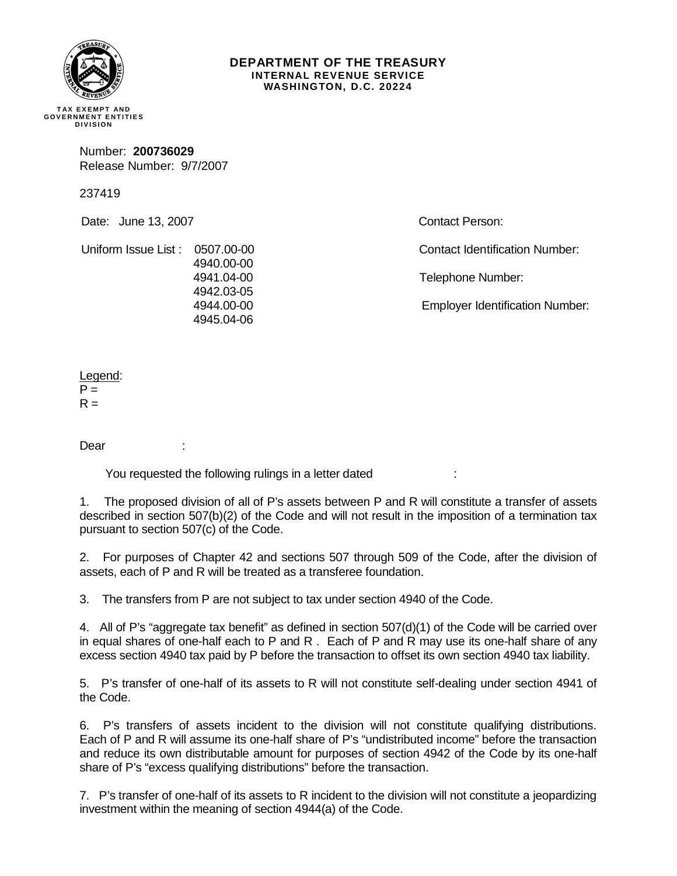

## **DEPARTMENT OF THE TREASURY INTERNAL REVENUE SERVICE WASHINGTON, D.C. 20224**

**TAX EXE MPT AND GOVERNMENT ENTITIES DIVISION** 

> Number: **200736029**  Release Number: 9/7/2007

237419

Date: June 13, 2007

Contact Person:

Uniform Issue List : 0507.00-00 4940.00-00 4941.04-00 4942.03-05 4944.00-00 4945.04-06

Telephone Number:

Employer Identification Number:

Contact Identification Number:

Legend:  $P =$  $R =$ 

Dear :

You requested the following rulings in a letter dated

1. The proposed division of all of P's assets between P and R will constitute a transfer of assets described in section 507(b)(2) of the Code and will not result in the imposition of a termination tax pursuant to section 507(c) of the Code.

2. For purposes of Chapter 42 and sections 507 through 509 of the Code, after the division of assets, each of P and R will be treated as a transferee foundation.

3. The transfers from P are not subject to tax under section 4940 of the Code.

4. All of P's "aggregate tax benefit" as defined in section 507(d)(1) of the Code will be carried over in equal shares of one-half each to P and R . Each of P and R may use its one-half share of any excess section 4940 tax paid by P before the transaction to offset its own section 4940 tax liability.

5. P's transfer of one-half of its assets to R will not constitute self-dealing under section 4941 of the Code.

6. P's transfers of assets incident to the division will not constitute qualifying distributions. Each of P and R will assume its one-half share of P's "undistributed income" before the transaction and reduce its own distributable amount for purposes of section 4942 of the Code by its one-half share of P's "excess qualifying distributions" before the transaction.

7. P's transfer of one-half of its assets to R incident to the division will not constitute a jeopardizing investment within the meaning of section 4944(a) of the Code.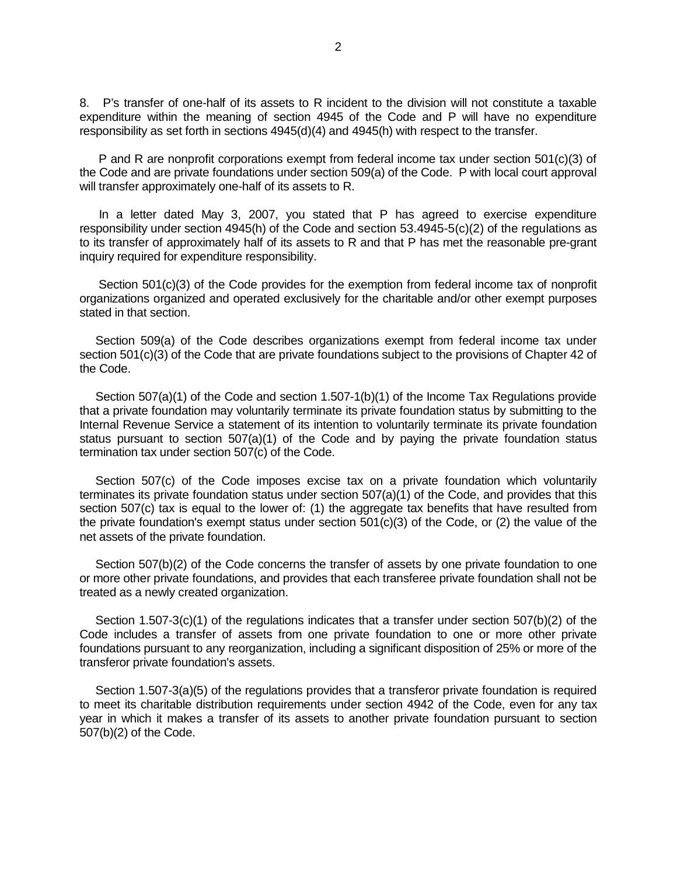8. P's transfer of one-half of its assets to R incident to the division will not constitute a taxable expenditure within the meaning of section 4945 of the Code and P will have no expenditure responsibility as set forth in sections 4945(d)(4) and 4945(h) with respect to the transfer.

 P and R are nonprofit corporations exempt from federal income tax under section 501(c)(3) of the Code and are private foundations under section 509(a) of the Code. P with local court approval will transfer approximately one-half of its assets to R.

 In a letter dated May 3, 2007, you stated that P has agreed to exercise expenditure responsibility under section 4945(h) of the Code and section 53.4945-5(c)(2) of the regulations as to its transfer of approximately half of its assets to R and that P has met the reasonable pre-grant inquiry required for expenditure responsibility.

 Section 501(c)(3) of the Code provides for the exemption from federal income tax of nonprofit organizations organized and operated exclusively for the charitable and/or other exempt purposes stated in that section.

 Section 509(a) of the Code describes organizations exempt from federal income tax under section 501(c)(3) of the Code that are private foundations subject to the provisions of Chapter 42 of the Code.

 Section 507(a)(1) of the Code and section 1.507-1(b)(1) of the Income Tax Regulations provide that a private foundation may voluntarily terminate its private foundation status by submitting to the Internal Revenue Service a statement of its intention to voluntarily terminate its private foundation status pursuant to section  $507(a)(1)$  of the Code and by paying the private foundation status termination tax under section 507(c) of the Code.

Section 507(c) of the Code imposes excise tax on a private foundation which voluntarily terminates its private foundation status under section 507(a)(1) of the Code, and provides that this section 507(c) tax is equal to the lower of: (1) the aggregate tax benefits that have resulted from the private foundation's exempt status under section  $501(c)(3)$  of the Code, or (2) the value of the net assets of the private foundation.

Section 507(b)(2) of the Code concerns the transfer of assets by one private foundation to one or more other private foundations, and provides that each transferee private foundation shall not be treated as a newly created organization.

 Section 1.507-3(c)(1) of the regulations indicates that a transfer under section 507(b)(2) of the Code includes a transfer of assets from one private foundation to one or more other private foundations pursuant to any reorganization, including a significant disposition of 25% or more of the transferor private foundation's assets.

Section 1.507-3(a)(5) of the regulations provides that a transferor private foundation is required to meet its charitable distribution requirements under section 4942 of the Code, even for any tax year in which it makes a transfer of its assets to another private foundation pursuant to section 507(b)(2) of the Code.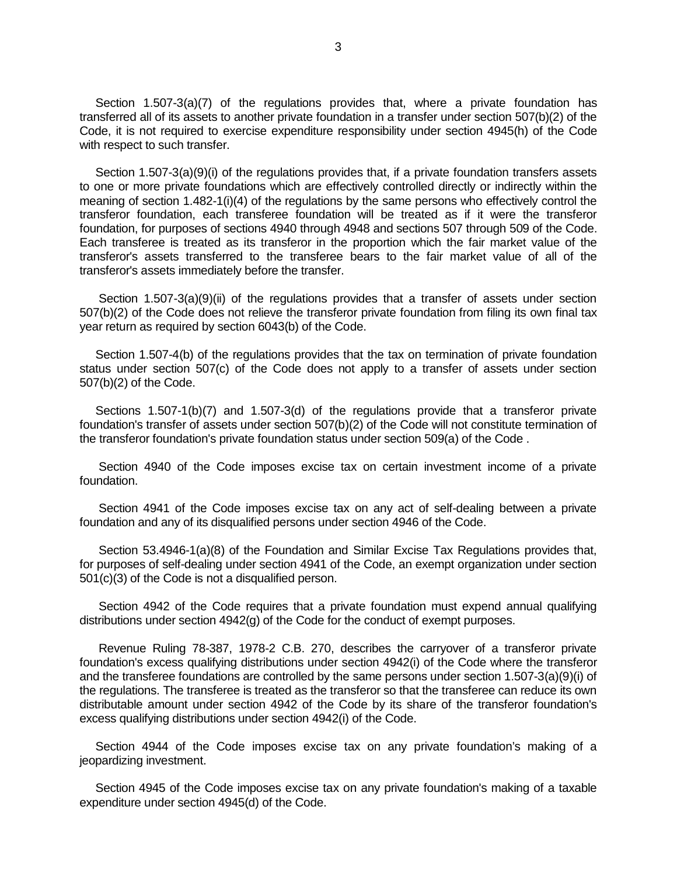Section 1.507-3(a)(7) of the regulations provides that, where a private foundation has transferred all of its assets to another private foundation in a transfer under section 507(b)(2) of the Code, it is not required to exercise expenditure responsibility under section 4945(h) of the Code with respect to such transfer.

 Section 1.507-3(a)(9)(i) of the regulations provides that, if a private foundation transfers assets to one or more private foundations which are effectively controlled directly or indirectly within the meaning of section 1.482-1(i)(4) of the regulations by the same persons who effectively control the transferor foundation, each transferee foundation will be treated as if it were the transferor foundation, for purposes of sections 4940 through 4948 and sections 507 through 509 of the Code. Each transferee is treated as its transferor in the proportion which the fair market value of the transferor's assets transferred to the transferee bears to the fair market value of all of the transferor's assets immediately before the transfer.

 Section 1.507-3(a)(9)(ii) of the regulations provides that a transfer of assets under section 507(b)(2) of the Code does not relieve the transferor private foundation from filing its own final tax year return as required by section 6043(b) of the Code.

 Section 1.507-4(b) of the regulations provides that the tax on termination of private foundation status under section 507(c) of the Code does not apply to a transfer of assets under section 507(b)(2) of the Code.

 Sections 1.507-1(b)(7) and 1.507-3(d) of the regulations provide that a transferor private foundation's transfer of assets under section 507(b)(2) of the Code will not constitute termination of the transferor foundation's private foundation status under section 509(a) of the Code .

 Section 4940 of the Code imposes excise tax on certain investment income of a private foundation.

 Section 4941 of the Code imposes excise tax on any act of self-dealing between a private foundation and any of its disqualified persons under section 4946 of the Code.

 Section 53.4946-1(a)(8) of the Foundation and Similar Excise Tax Regulations provides that, for purposes of self-dealing under section 4941 of the Code, an exempt organization under section 501(c)(3) of the Code is not a disqualified person.

 Section 4942 of the Code requires that a private foundation must expend annual qualifying distributions under section 4942(g) of the Code for the conduct of exempt purposes.

 Revenue Ruling 78-387, 1978-2 C.B. 270, describes the carryover of a transferor private foundation's excess qualifying distributions under section 4942(i) of the Code where the transferor and the transferee foundations are controlled by the same persons under section 1.507-3(a)(9)(i) of the regulations. The transferee is treated as the transferor so that the transferee can reduce its own distributable amount under section 4942 of the Code by its share of the transferor foundation's excess qualifying distributions under section 4942(i) of the Code.

 Section 4944 of the Code imposes excise tax on any private foundation's making of a jeopardizing investment.

 Section 4945 of the Code imposes excise tax on any private foundation's making of a taxable expenditure under section 4945(d) of the Code.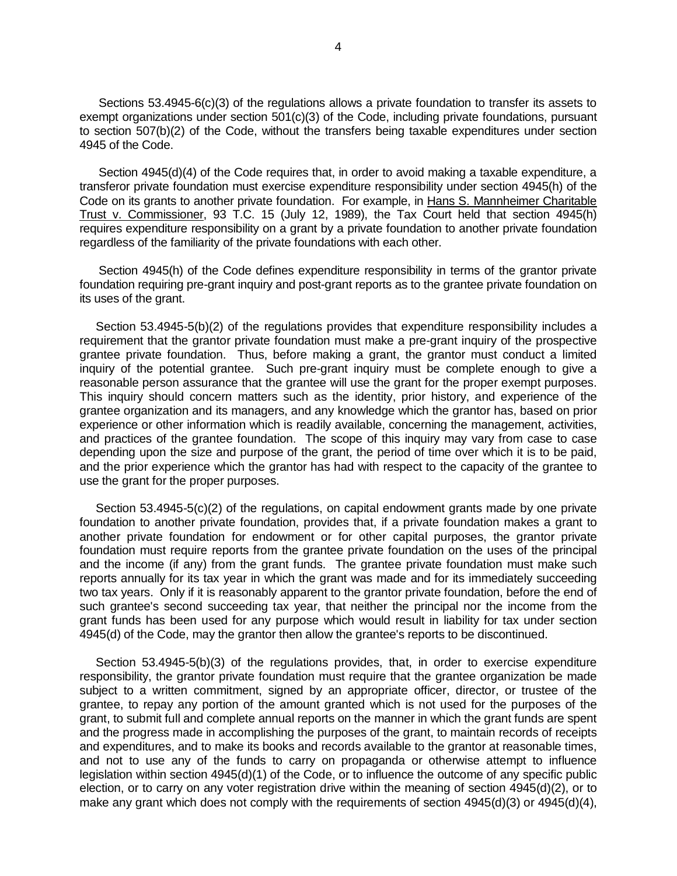Sections 53.4945-6(c)(3) of the regulations allows a private foundation to transfer its assets to exempt organizations under section 501(c)(3) of the Code, including private foundations, pursuant to section 507(b)(2) of the Code, without the transfers being taxable expenditures under section 4945 of the Code.

 Section 4945(d)(4) of the Code requires that, in order to avoid making a taxable expenditure, a transferor private foundation must exercise expenditure responsibility under section 4945(h) of the Code on its grants to another private foundation. For example, in Hans S. Mannheimer Charitable Trust v. Commissioner, 93 T.C. 15 (July 12, 1989), the Tax Court held that section 4945(h) requires expenditure responsibility on a grant by a private foundation to another private foundation regardless of the familiarity of the private foundations with each other.

 Section 4945(h) of the Code defines expenditure responsibility in terms of the grantor private foundation requiring pre-grant inquiry and post-grant reports as to the grantee private foundation on its uses of the grant.

 Section 53.4945-5(b)(2) of the regulations provides that expenditure responsibility includes a requirement that the grantor private foundation must make a pre-grant inquiry of the prospective grantee private foundation. Thus, before making a grant, the grantor must conduct a limited inquiry of the potential grantee. Such pre-grant inquiry must be complete enough to give a reasonable person assurance that the grantee will use the grant for the proper exempt purposes. This inquiry should concern matters such as the identity, prior history, and experience of the grantee organization and its managers, and any knowledge which the grantor has, based on prior experience or other information which is readily available, concerning the management, activities, and practices of the grantee foundation. The scope of this inquiry may vary from case to case depending upon the size and purpose of the grant, the period of time over which it is to be paid, and the prior experience which the grantor has had with respect to the capacity of the grantee to use the grant for the proper purposes.

 Section 53.4945-5(c)(2) of the regulations, on capital endowment grants made by one private foundation to another private foundation, provides that, if a private foundation makes a grant to another private foundation for endowment or for other capital purposes, the grantor private foundation must require reports from the grantee private foundation on the uses of the principal and the income (if any) from the grant funds. The grantee private foundation must make such reports annually for its tax year in which the grant was made and for its immediately succeeding two tax years. Only if it is reasonably apparent to the grantor private foundation, before the end of such grantee's second succeeding tax year, that neither the principal nor the income from the grant funds has been used for any purpose which would result in liability for tax under section 4945(d) of the Code, may the grantor then allow the grantee's reports to be discontinued.

 Section 53.4945-5(b)(3) of the regulations provides, that, in order to exercise expenditure responsibility, the grantor private foundation must require that the grantee organization be made subject to a written commitment, signed by an appropriate officer, director, or trustee of the grantee, to repay any portion of the amount granted which is not used for the purposes of the grant, to submit full and complete annual reports on the manner in which the grant funds are spent and the progress made in accomplishing the purposes of the grant, to maintain records of receipts and expenditures, and to make its books and records available to the grantor at reasonable times, and not to use any of the funds to carry on propaganda or otherwise attempt to influence legislation within section 4945(d)(1) of the Code, or to influence the outcome of any specific public election, or to carry on any voter registration drive within the meaning of section 4945(d)(2), or to make any grant which does not comply with the requirements of section 4945(d)(3) or 4945(d)(4),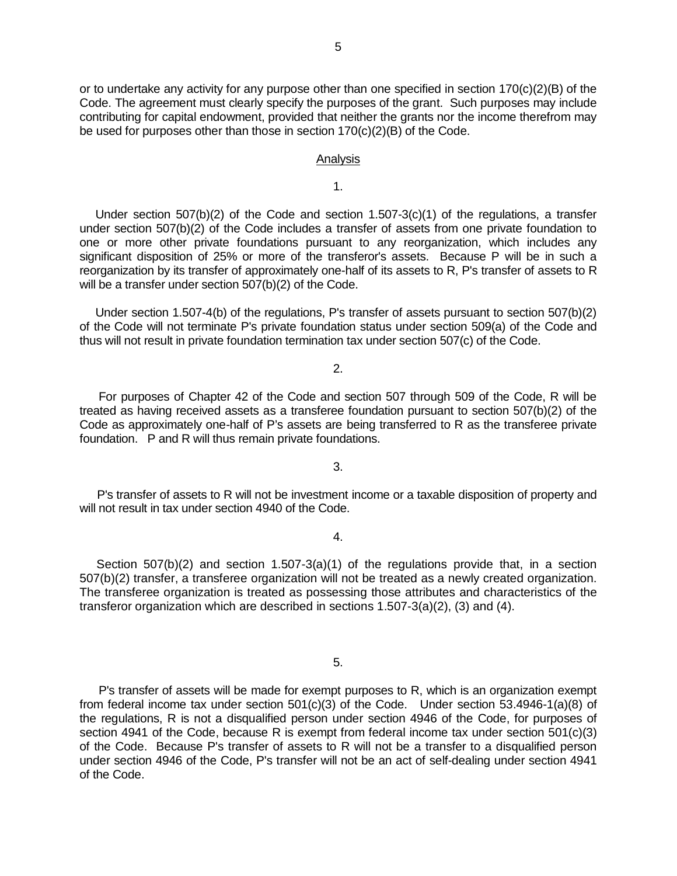or to undertake any activity for any purpose other than one specified in section  $170(c)(2)(B)$  of the Code. The agreement must clearly specify the purposes of the grant. Such purposes may include contributing for capital endowment, provided that neither the grants nor the income therefrom may be used for purposes other than those in section 170(c)(2)(B) of the Code.

## Analysis

1.

Under section  $507(b)(2)$  of the Code and section  $1.507-3(c)(1)$  of the regulations, a transfer under section 507(b)(2) of the Code includes a transfer of assets from one private foundation to one or more other private foundations pursuant to any reorganization, which includes any significant disposition of 25% or more of the transferor's assets. Because P will be in such a reorganization by its transfer of approximately one-half of its assets to R, P's transfer of assets to R will be a transfer under section 507(b)(2) of the Code.

 Under section 1.507-4(b) of the regulations, P's transfer of assets pursuant to section 507(b)(2) of the Code will not terminate P's private foundation status under section 509(a) of the Code and thus will not result in private foundation termination tax under section 507(c) of the Code.

2.

 For purposes of Chapter 42 of the Code and section 507 through 509 of the Code, R will be treated as having received assets as a transferee foundation pursuant to section 507(b)(2) of the Code as approximately one-half of P's assets are being transferred to R as the transferee private foundation. P and R will thus remain private foundations.

3.

P's transfer of assets to R will not be investment income or a taxable disposition of property and will not result in tax under section 4940 of the Code.

4.

Section  $507(b)(2)$  and section  $1.507-3(a)(1)$  of the regulations provide that, in a section 507(b)(2) transfer, a transferee organization will not be treated as a newly created organization. The transferee organization is treated as possessing those attributes and characteristics of the transferor organization which are described in sections 1.507-3(a)(2), (3) and (4).

5.

P's transfer of assets will be made for exempt purposes to R, which is an organization exempt from federal income tax under section 501(c)(3) of the Code.Under section 53.4946-1(a)(8) of the regulations, R is not a disqualified person under section 4946 of the Code, for purposes of section 4941 of the Code, because R is exempt from federal income tax under section 501(c)(3) of the Code. Because P's transfer of assets to R will not be a transfer to a disqualified person under section 4946 of the Code, P's transfer will not be an act of self-dealing under section 4941 of the Code.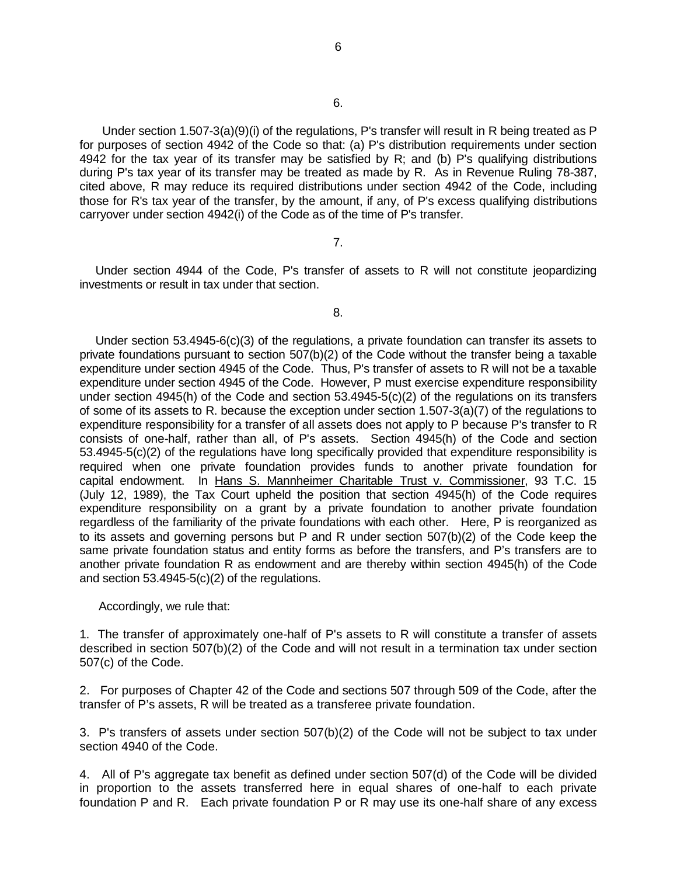Under section 1.507-3(a)(9)(i) of the regulations, P's transfer will result in R being treated as P for purposes of section 4942 of the Code so that: (a) P's distribution requirements under section 4942 for the tax year of its transfer may be satisfied by R; and (b) P's qualifying distributions during P's tax year of its transfer may be treated as made by R. As in Revenue Ruling 78-387, cited above, R may reduce its required distributions under section 4942 of the Code, including those for R's tax year of the transfer, by the amount, if any, of P's excess qualifying distributions carryover under section 4942(i) of the Code as of the time of P's transfer.

## 7.

 Under section 4944 of the Code, P's transfer of assets to R will not constitute jeopardizing investments or result in tax under that section.

8.

 Under section 53.4945-6(c)(3) of the regulations, a private foundation can transfer its assets to private foundations pursuant to section 507(b)(2) of the Code without the transfer being a taxable expenditure under section 4945 of the Code. Thus, P's transfer of assets to R will not be a taxable expenditure under section 4945 of the Code. However, P must exercise expenditure responsibility under section 4945(h) of the Code and section 53.4945-5(c)(2) of the regulations on its transfers of some of its assets to R. because the exception under section 1.507-3(a)(7) of the regulations to expenditure responsibility for a transfer of all assets does not apply to P because P's transfer to R consists of one-half, rather than all, of P's assets. Section 4945(h) of the Code and section 53.4945-5(c)(2) of the regulations have long specifically provided that expenditure responsibility is required when one private foundation provides funds to another private foundation for capital endowment. In Hans S. Mannheimer Charitable Trust v. Commissioner, 93 T.C. 15 (July 12, 1989), the Tax Court upheld the position that section 4945(h) of the Code requires expenditure responsibility on a grant by a private foundation to another private foundation regardless of the familiarity of the private foundations with each other. Here, P is reorganized as to its assets and governing persons but P and R under section 507(b)(2) of the Code keep the same private foundation status and entity forms as before the transfers, and P's transfers are to another private foundation R as endowment and are thereby within section 4945(h) of the Code and section 53.4945-5(c)(2) of the regulations.

## Accordingly, we rule that:

1. The transfer of approximately one-half of P's assets to R will constitute a transfer of assets described in section 507(b)(2) of the Code and will not result in a termination tax under section 507(c) of the Code.

2. For purposes of Chapter 42 of the Code and sections 507 through 509 of the Code, after the transfer of P's assets, R will be treated as a transferee private foundation.

3. P's transfers of assets under section 507(b)(2) of the Code will not be subject to tax under section 4940 of the Code.

4. All of P's aggregate tax benefit as defined under section 507(d) of the Code will be divided in proportion to the assets transferred here in equal shares of one-half to each private foundation P and R. Each private foundation P or R may use its one-half share of any excess